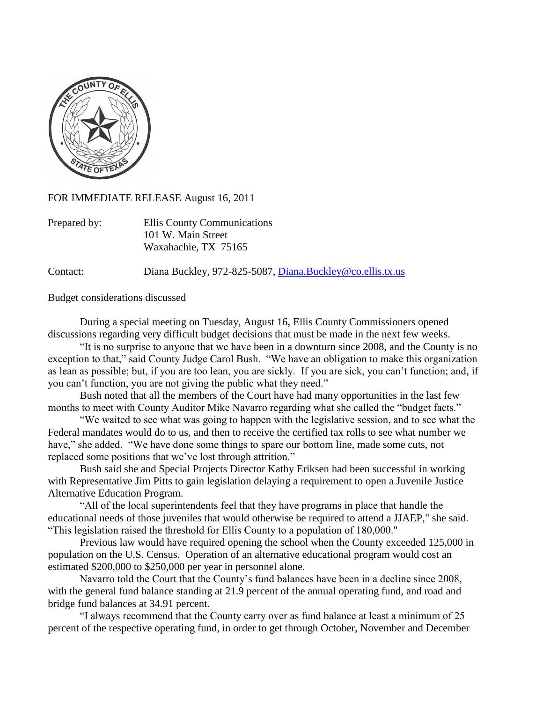

FOR IMMEDIATE RELEASE August 16, 2011

| Prepared by: | Ellis County Communications |
|--------------|-----------------------------|
|              | 101 W. Main Street          |
|              | Waxahachie, TX 75165        |

Contact: Diana Buckley, 972-825-5087, [Diana.Buckley@co.ellis.tx.us](mailto:Diana.Buckley@co.ellis.tx.us)

Budget considerations discussed

During a special meeting on Tuesday, August 16, Ellis County Commissioners opened discussions regarding very difficult budget decisions that must be made in the next few weeks.

"It is no surprise to anyone that we have been in a downturn since 2008, and the County is no exception to that," said County Judge Carol Bush. "We have an obligation to make this organization as lean as possible; but, if you are too lean, you are sickly. If you are sick, you can't function; and, if you can't function, you are not giving the public what they need."

Bush noted that all the members of the Court have had many opportunities in the last few months to meet with County Auditor Mike Navarro regarding what she called the "budget facts."

"We waited to see what was going to happen with the legislative session, and to see what the Federal mandates would do to us, and then to receive the certified tax rolls to see what number we have," she added. "We have done some things to spare our bottom line, made some cuts, not replaced some positions that we've lost through attrition."

Bush said she and Special Projects Director Kathy Eriksen had been successful in working with Representative Jim Pitts to gain legislation delaying a requirement to open a Juvenile Justice Alternative Education Program.

"All of the local superintendents feel that they have programs in place that handle the educational needs of those juveniles that would otherwise be required to attend a JJAEP," she said. "This legislation raised the threshold for Ellis County to a population of 180,000."

Previous law would have required opening the school when the County exceeded 125,000 in population on the U.S. Census. Operation of an alternative educational program would cost an estimated \$200,000 to \$250,000 per year in personnel alone.

Navarro told the Court that the County's fund balances have been in a decline since 2008, with the general fund balance standing at 21.9 percent of the annual operating fund, and road and bridge fund balances at 34.91 percent.

"I always recommend that the County carry over as fund balance at least a minimum of 25 percent of the respective operating fund, in order to get through October, November and December